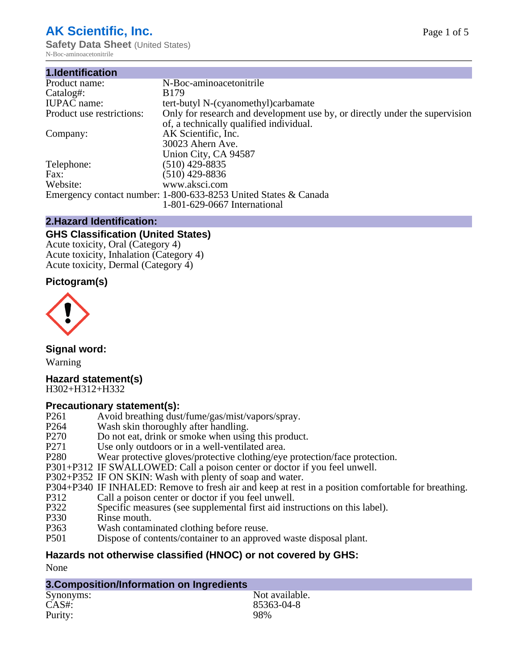# **AK Scientific, Inc.**

**Safety Data Sheet** (United States) N-Boc-aminoacetonitrile

| N-Boc-aminoacetonitrile                                                     |
|-----------------------------------------------------------------------------|
| B <sub>179</sub>                                                            |
| tert-butyl N-(cyanomethyl)carbamate                                         |
| Only for research and development use by, or directly under the supervision |
| of, a technically qualified individual.                                     |
| AK Scientific, Inc.                                                         |
| 30023 Ahern Ave.                                                            |
| Union City, CA 94587                                                        |
| $(510)$ 429-8835                                                            |
| (510) 429-8836                                                              |
| www.aksci.com                                                               |
| Emergency contact number: 1-800-633-8253 United States & Canada             |
| 1-801-629-0667 International                                                |
|                                                                             |

#### **2.Hazard Identification:**

#### **GHS Classification (United States)**

Acute toxicity, Oral (Category 4) Acute toxicity, Inhalation (Category 4) Acute toxicity, Dermal (Category 4)

#### **Pictogram(s)**



**Signal word:**

Warning

# **Hazard statement(s)**

H302+H312+H332

#### **Precautionary statement(s):**

- P261 Avoid breathing dust/fume/gas/mist/vapors/spray.
- P264 Wash skin thoroughly after handling.<br>P270 Do not eat, drink or smoke when usin
- P270 Do not eat, drink or smoke when using this product.<br>P271 Use only outdoors or in a well-ventilated area.
- P271 Use only outdoors or in a well-ventilated area.<br>P280 Wear protective gloves/protective clothing/eye
- Wear protective gloves/protective clothing/eye protection/face protection.
- P301+P312 IF SWALLOWED: Call a poison center or doctor if you feel unwell.
- P302+P352 IF ON SKIN: Wash with plenty of soap and water.
- P304+P340 IF INHALED: Remove to fresh air and keep at rest in a position comfortable for breathing.<br>P312 Call a poison center or doctor if you feel unwell.
- P312 Call a poison center or doctor if you feel unwell.<br>P322 Specific measures (see supplemental first aid inst
- P322 Specific measures (see supplemental first aid instructions on this label).<br>P330 Rinse mouth.
- Rinse mouth.
- P363 Wash contaminated clothing before reuse.
- P501 Dispose of contents/container to an approved waste disposal plant.

## **Hazards not otherwise classified (HNOC) or not covered by GHS:**

None

### **3.Composition/Information on Ingredients**

| Synonyms: | Not available. |
|-----------|----------------|
| CAS#:     | 85363-04-8     |
| Purity:   | 98%            |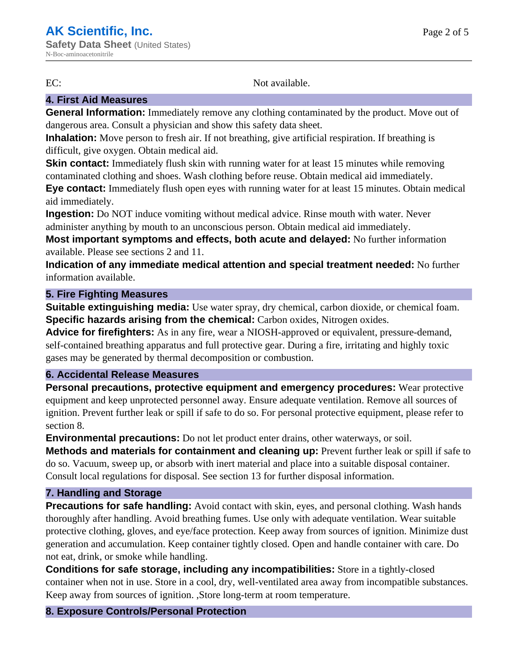EC: Not available.

#### **4. First Aid Measures**

**General Information:** Immediately remove any clothing contaminated by the product. Move out of dangerous area. Consult a physician and show this safety data sheet.

**Inhalation:** Move person to fresh air. If not breathing, give artificial respiration. If breathing is difficult, give oxygen. Obtain medical aid.

**Skin contact:** Immediately flush skin with running water for at least 15 minutes while removing contaminated clothing and shoes. Wash clothing before reuse. Obtain medical aid immediately.

**Eye contact:** Immediately flush open eyes with running water for at least 15 minutes. Obtain medical aid immediately.

**Ingestion:** Do NOT induce vomiting without medical advice. Rinse mouth with water. Never administer anything by mouth to an unconscious person. Obtain medical aid immediately.

**Most important symptoms and effects, both acute and delayed:** No further information available. Please see sections 2 and 11.

**Indication of any immediate medical attention and special treatment needed:** No further information available.

#### **5. Fire Fighting Measures**

**Suitable extinguishing media:** Use water spray, dry chemical, carbon dioxide, or chemical foam. **Specific hazards arising from the chemical:** Carbon oxides, Nitrogen oxides.

**Advice for firefighters:** As in any fire, wear a NIOSH-approved or equivalent, pressure-demand, self-contained breathing apparatus and full protective gear. During a fire, irritating and highly toxic gases may be generated by thermal decomposition or combustion.

#### **6. Accidental Release Measures**

**Personal precautions, protective equipment and emergency procedures:** Wear protective equipment and keep unprotected personnel away. Ensure adequate ventilation. Remove all sources of ignition. Prevent further leak or spill if safe to do so. For personal protective equipment, please refer to section 8.

**Environmental precautions:** Do not let product enter drains, other waterways, or soil.

**Methods and materials for containment and cleaning up:** Prevent further leak or spill if safe to do so. Vacuum, sweep up, or absorb with inert material and place into a suitable disposal container. Consult local regulations for disposal. See section 13 for further disposal information.

#### **7. Handling and Storage**

**Precautions for safe handling:** Avoid contact with skin, eyes, and personal clothing. Wash hands thoroughly after handling. Avoid breathing fumes. Use only with adequate ventilation. Wear suitable protective clothing, gloves, and eye/face protection. Keep away from sources of ignition. Minimize dust generation and accumulation. Keep container tightly closed. Open and handle container with care. Do not eat, drink, or smoke while handling.

**Conditions for safe storage, including any incompatibilities:** Store in a tightly-closed container when not in use. Store in a cool, dry, well-ventilated area away from incompatible substances. Keep away from sources of ignition. ,Store long-term at room temperature.

#### **8. Exposure Controls/Personal Protection**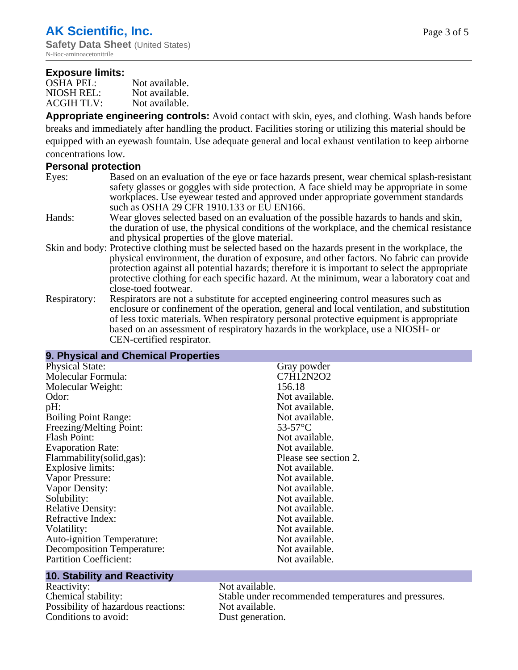#### **Exposure limits:**

| <b>OSHA PEL:</b>  | Not available. |
|-------------------|----------------|
| NIOSH REL:        | Not available. |
| <b>ACGIH TLV:</b> | Not available. |

**Appropriate engineering controls:** Avoid contact with skin, eyes, and clothing. Wash hands before breaks and immediately after handling the product. Facilities storing or utilizing this material should be equipped with an eyewash fountain. Use adequate general and local exhaust ventilation to keep airborne concentrations low.

#### **Personal protection**

- Eyes: Based on an evaluation of the eye or face hazards present, wear chemical splash-resistant safety glasses or goggles with side protection. A face shield may be appropriate in some workplaces. Use eyewear tested and approved under appropriate government standards such as OSHA 29 CFR 1910.133 or EU EN166.
- Hands: Wear gloves selected based on an evaluation of the possible hazards to hands and skin, the duration of use, the physical conditions of the workplace, and the chemical resistance and physical properties of the glove material.
- Skin and body: Protective clothing must be selected based on the hazards present in the workplace, the physical environment, the duration of exposure, and other factors. No fabric can provide protection against all potential hazards; therefore it is important to select the appropriate protective clothing for each specific hazard. At the minimum, wear a laboratory coat and close-toed footwear.
- Respiratory: Respirators are not a substitute for accepted engineering control measures such as enclosure or confinement of the operation, general and local ventilation, and substitution of less toxic materials. When respiratory personal protective equipment is appropriate based on an assessment of respiratory hazards in the workplace, use a NIOSH- or CEN-certified respirator.

#### **9. Physical and Chemical Properties**

| Molecular Formula:<br>156.18<br>Molecular Weight: | C7H12N2O2             |
|---------------------------------------------------|-----------------------|
|                                                   |                       |
|                                                   |                       |
| Odor:<br>Not available.                           |                       |
| pH:                                               | Not available.        |
| <b>Boiling Point Range:</b>                       | Not available.        |
| Freezing/Melting Point:<br>$53-57$ °C             |                       |
| <b>Flash Point:</b>                               | Not available.        |
| <b>Evaporation Rate:</b>                          | Not available.        |
| Flammability(solid,gas):                          | Please see section 2. |
| Explosive limits:                                 | Not available.        |
| Vapor Pressure:                                   | Not available.        |
| Vapor Density:                                    | Not available.        |
| Solubility:                                       | Not available.        |
| <b>Relative Density:</b>                          | Not available.        |
| Refractive Index:                                 | Not available.        |
| Volatility:                                       | Not available.        |
| <b>Auto-ignition Temperature:</b>                 | Not available.        |
| <b>Decomposition Temperature:</b>                 | Not available.        |
| <b>Partition Coefficient:</b>                     | Not available.        |

#### **10. Stability and Reactivity**

Reactivity: Not available. Possibility of hazardous reactions: Conditions to avoid: Dust generation.

Chemical stability:<br>
Stable under recommended temperatures and pressures.<br>
Possibility of hazardous reactions:<br>
Not available.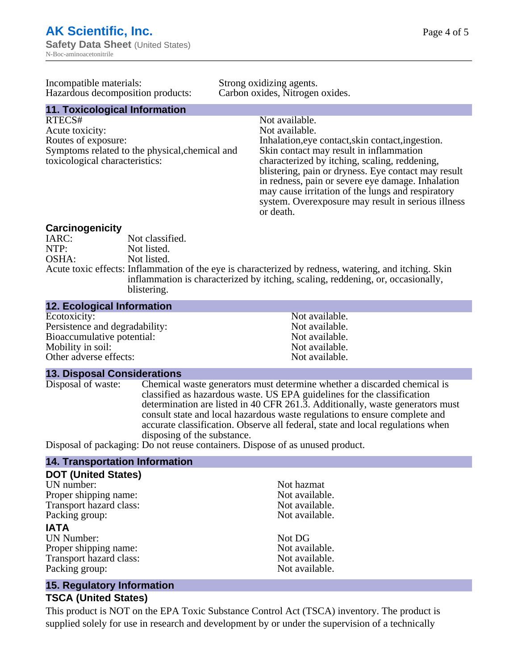| Page 4 of 5 |  |  |
|-------------|--|--|
|             |  |  |

| Incompatible materials:<br>Hazardous decomposition products: | Strong oxidizing agents.<br>Carbon oxides, Nitrogen oxides. |                                                     |
|--------------------------------------------------------------|-------------------------------------------------------------|-----------------------------------------------------|
| 11. Toxicological Information                                |                                                             |                                                     |
| RTECS#                                                       |                                                             | Not available.                                      |
| Acute toxicity:                                              |                                                             | Not available.                                      |
| Routes of exposure:                                          |                                                             | Inhalation, eye contact, skin contact, ingestion.   |
| Symptoms related to the physical, chemical and               |                                                             | Skin contact may result in inflammation             |
| toxicological characteristics:                               |                                                             | characterized by itching, scaling, reddening,       |
|                                                              |                                                             | blistering, pain or dryness. Eye contact may result |
|                                                              |                                                             | in redness, pain or severe eye damage. Inhalation   |
|                                                              |                                                             | may cause irritation of the lungs and respiratory   |
|                                                              |                                                             | system. Overexposure may result in serious illness  |
|                                                              |                                                             | or death.                                           |

# **Carcinogenicity**

IARC: Not classified.<br>Not listed. NTP:<br>
OSHA: Not listed.<br>
Not listed. Not listed. Acute toxic effects: Inflammation of the eye is characterized by redness, watering, and itching. Skin inflammation is characterized by itching, scaling, reddening, or, occasionally, blistering.

#### **12. Ecological Information**

| Not available. |
|----------------|
| Not available. |
| Not available. |
| Not available. |
| Not available. |
|                |

#### **13. Disposal Considerations**

Disposal of waste: Chemical waste generators must determine whether a discarded chemical is classified as hazardous waste. US EPA guidelines for the classification determination are listed in 40 CFR 261.3. Additionally, waste generators must consult state and local hazardous waste regulations to ensure complete and accurate classification. Observe all federal, state and local regulations when disposing of the substance.

Disposal of packaging: Do not reuse containers. Dispose of as unused product.

#### **14. Transportation Information**

| <b>DOT (United States)</b> |                |
|----------------------------|----------------|
| UN number:                 | Not hazmat     |
| Proper shipping name:      | Not available. |
| Transport hazard class:    | Not available. |
| Packing group:             | Not available. |
| <b>IATA</b>                |                |
| <b>UN Number:</b>          | Not DG         |
| Proper shipping name:      | Not available. |
| Transport hazard class:    | Not available. |
| Packing group:             | Not available. |
|                            |                |

#### **15. Regulatory Information**

#### **TSCA (United States)**

This product is NOT on the EPA Toxic Substance Control Act (TSCA) inventory. The product is supplied solely for use in research and development by or under the supervision of a technically